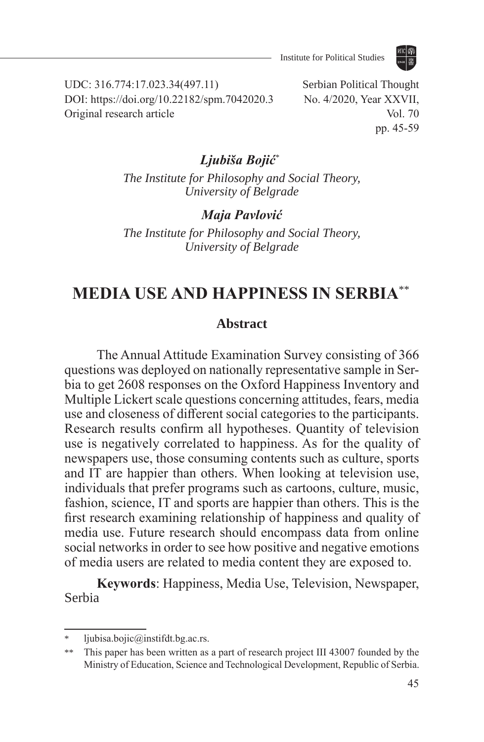

UDC: 316.774:17.023.34(497.11) DOI: https://doi.org/10.22182/spm.7042020.3 Original research article

Serbian Political Thought No. 4/2020, Year XXVII, Vol. 70 pp. 45-59

## *Ljubiša Bojić*\*<sup>7</sup>

*The Institute for Philosophy and Social Theory, University of Belgrade*

*Maja Pavlović*

*The Institute for Philosophy and Social Theory, University of Belgrade*

# **MEDIA USE AND HAPPINESS IN SERBIA**\*\*<sup>8</sup>

#### **Abstract**

The Annual Attitude Examination Survey consisting of 366 questions was deployed on nationally representative sample in Serbia to get 2608 responses on the Oxford Happiness Inventory and Multiple Lickert scale questions concerning attitudes, fears, media use and closeness of different social categories to the participants. Research results confirm all hypotheses. Quantity of television use is negatively correlated to happiness. As for the quality of newspapers use, those consuming contents such as culture, sports and IT are happier than others. When looking at television use, individuals that prefer programs such as cartoons, culture, music, fashion, science, IT and sports are happier than others. This is the first research examining relationship of happiness and quality of media use. Future research should encompass data from online social networks in order to see how positive and negative emotions of media users are related to media content they are exposed to.

**Keywords**: Happiness, Media Use, Television, Newspaper, Serbia

ljubisa.bojic@instifdt.bg.ac.rs.

<sup>\*\*</sup> This paper has been written as a part of research project III 43007 founded by the Ministry of Education, Science and Technological Development, Republic of Serbia.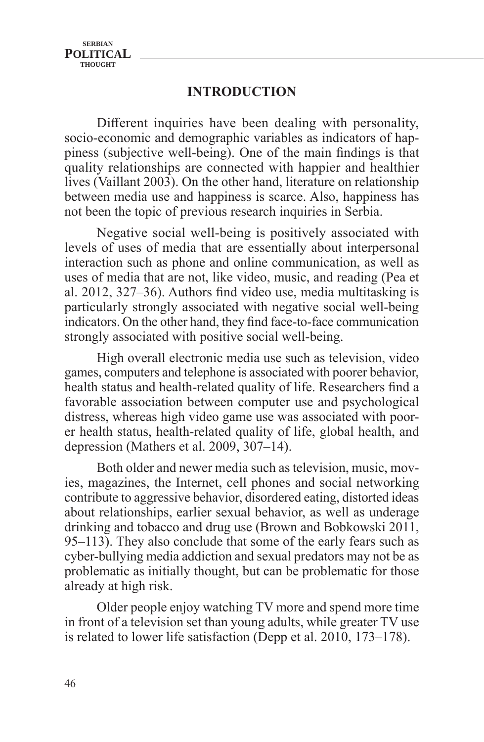## **INTRODUCTION**

Different inquiries have been dealing with personality, socio-economic and demographic variables as indicators of happiness (subjective well-being). One of the main findings is that quality relationships are connected with happier and healthier lives (Vaillant 2003). On the other hand, literature on relationship between media use and happiness is scarce. Also, happiness has not been the topic of previous research inquiries in Serbia.

Negative social well-being is positively associated with levels of uses of media that are essentially about interpersonal interaction such as phone and online communication, as well as uses of media that are not, like video, music, and reading (Pea et al. 2012, 327‒36). Authors find video use, media multitasking is particularly strongly associated with negative social well-being indicators. On the other hand, they find face-to-face communication strongly associated with positive social well-being.

High overall electronic media use such as television, video games, computers and telephone is associated with poorer behavior, health status and health-related quality of life. Researchers find a favorable association between computer use and psychological distress, whereas high video game use was associated with poorer health status, health-related quality of life, global health, and depression (Mathers et al. 2009,  $307-14$ ).

Both older and newer media such as television, music, movies, magazines, the Internet, cell phones and social networking contribute to aggressive behavior, disordered eating, distorted ideas about relationships, earlier sexual behavior, as well as underage drinking and tobacco and drug use (Brown and Bobkowski 2011, 95–113). They also conclude that some of the early fears such as cyber-bullying media addiction and sexual predators may not be as problematic as initially thought, but can be problematic for those already at high risk.

Older people enjoy watching TV more and spend more time in front of a television set than young adults, while greater TV use is related to lower life satisfaction (Depp et al. 2010, 173–178).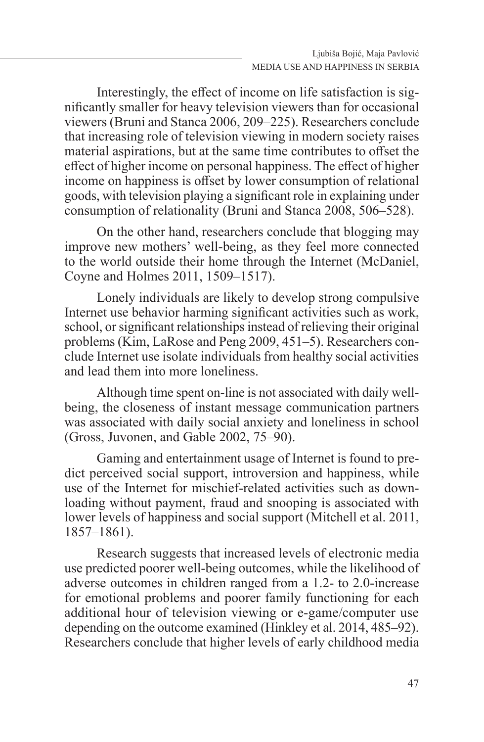Interestingly, the effect of income on life satisfaction is significantly smaller for heavy television viewers than for occasional viewers (Bruni and Stanca 2006, 209–225). Researchers conclude that increasing role of television viewing in modern society raises material aspirations, but at the same time contributes to offset the effect of higher income on personal happiness. The effect of higher income on happiness is offset by lower consumption of relational goods, with television playing a significant role in explaining under consumption of relationality (Bruni and Stanca 2008, 506–528).

On the other hand, researchers conclude that blogging may improve new mothers' well-being, as they feel more connected to the world outside their home through the Internet (McDaniel, Coyne and Holmes 2011, 1509–1517).

Lonely individuals are likely to develop strong compulsive Internet use behavior harming significant activities such as work, school, or significant relationships instead of relieving their original problems (Kim, LaRose and Peng 2009, 451–5). Researchers conclude Internet use isolate individuals from healthy social activities and lead them into more loneliness.

Although time spent on-line is not associated with daily wellbeing, the closeness of instant message communication partners was associated with daily social anxiety and loneliness in school (Gross, Juvonen, and Gable 2002, 75–90).

Gaming and entertainment usage of Internet is found to predict perceived social support, introversion and happiness, while use of the Internet for mischief-related activities such as downloading without payment, fraud and snooping is associated with lower levels of happiness and social support (Mitchell et al. 2011, 1857‒1861).

Research suggests that increased levels of electronic media use predicted poorer well-being outcomes, while the likelihood of adverse outcomes in children ranged from a 1.2- to 2.0-increase for emotional problems and poorer family functioning for each additional hour of television viewing or e-game/computer use depending on the outcome examined (Hinkley et al. 2014, 485–92). Researchers conclude that higher levels of early childhood media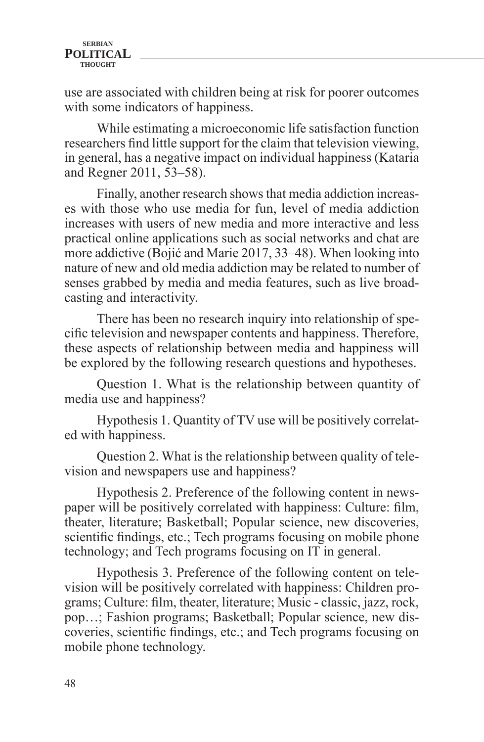use are associated with children being at risk for poorer outcomes with some indicators of happiness.

While estimating a microeconomic life satisfaction function researchers find little support for the claim that television viewing, in general, has a negative impact on individual happiness (Kataria and Regner 2011, 53–58).

Finally, another research shows that media addiction increases with those who use media for fun, level of media addiction increases with users of new media and more interactive and less practical online applications such as social networks and chat are more addictive (Bojić and Marie 2017, 33–48). When looking into nature of new and old media addiction may be related to number of senses grabbed by media and media features, such as live broadcasting and interactivity.

There has been no research inquiry into relationship of specific television and newspaper contents and happiness. Therefore, these aspects of relationship between media and happiness will be explored by the following research questions and hypotheses.

Question 1. What is the relationship between quantity of media use and happiness?

Hypothesis 1. Quantity of TV use will be positively correlated with happiness.

Question 2. What is the relationship between quality of television and newspapers use and happiness?

Hypothesis 2. Preference of the following content in newspaper will be positively correlated with happiness: Culture: film, theater, literature; Basketball; Popular science, new discoveries, scientific findings, etc.; Tech programs focusing on mobile phone technology; and Tech programs focusing on IT in general.

Hypothesis 3. Preference of the following content on television will be positively correlated with happiness: Children programs; Culture: film, theater, literature; Music - classic, jazz, rock, pop…; Fashion programs; Basketball; Popular science, new discoveries, scientific findings, etc.; and Tech programs focusing on mobile phone technology.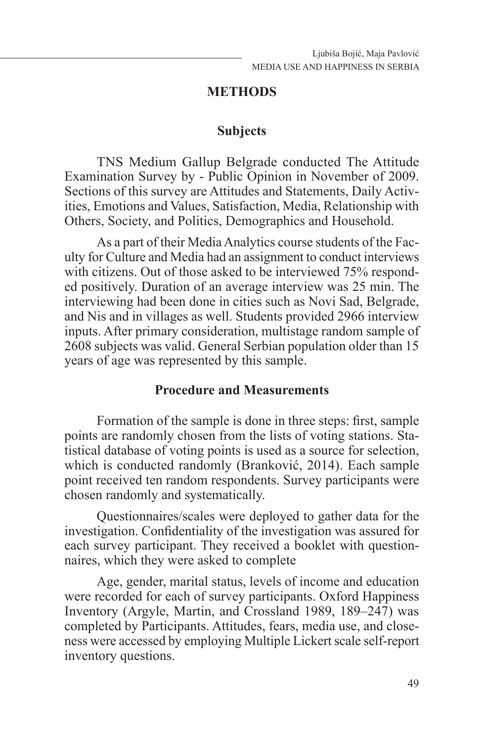## **METHODS**

### **Subjects**

TNS Medium Gallup Belgrade conducted The Attitude Examination Survey by - Public Opinion in November of 2009. Sections of this survey are Attitudes and Statements, Daily Activities, Emotions and Values, Satisfaction, Media, Relationship with Others, Society, and Politics, Demographics and Household.

As a part of their Media Analytics course students of the Faculty for Culture and Media had an assignment to conduct interviews with citizens. Out of those asked to be interviewed 75% responded positively. Duration of an average interview was 25 min. The interviewing had been done in cities such as Novi Sad, Belgrade, and Nis and in villages as well. Students provided 2966 interview inputs. After primary consideration, multistage random sample of 2608 subjects was valid. General Serbian population older than 15 years of age was represented by this sample.

## **Procedure and Measurements**

Formation of the sample is done in three steps: first, sample points are randomly chosen from the lists of voting stations. Statistical database of voting points is used as a source for selection, which is conducted randomly (Branković, 2014). Each sample point received ten random respondents. Survey participants were chosen randomly and systematically.

Questionnaires/scales were deployed to gather data for the investigation. Confidentiality of the investigation was assured for each survey participant. They received a booklet with questionnaires, which they were asked to complete

Age, gender, marital status, levels of income and education were recorded for each of survey participants. Oxford Happiness Inventory (Argyle, Martin, and Crossland 1989, 189-247) was completed by Participants. Attitudes, fears, media use, and closeness were accessed by employing Multiple Lickert scale self-report inventory questions.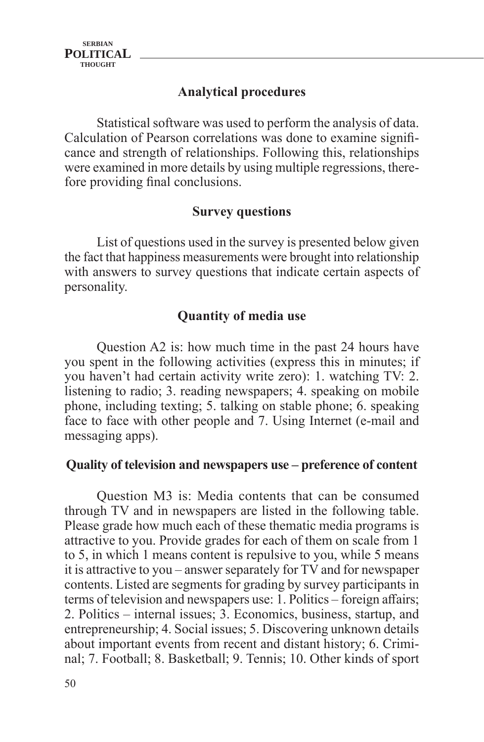## **Analytical procedures**

Statistical software was used to perform the analysis of data. Calculation of Pearson correlations was done to examine significance and strength of relationships. Following this, relationships were examined in more details by using multiple regressions, therefore providing final conclusions.

## **Survey questions**

List of questions used in the survey is presented below given the fact that happiness measurements were brought into relationship with answers to survey questions that indicate certain aspects of personality.

## **Quantity of media use**

Question A2 is: how much time in the past 24 hours have you spent in the following activities (express this in minutes; if you haven't had certain activity write zero): 1. watching TV: 2. listening to radio; 3. reading newspapers; 4. speaking on mobile phone, including texting; 5. talking on stable phone; 6. speaking face to face with other people and 7. Using Internet (e-mail and messaging apps).

#### **Quality of television and newspapers use – preference of content**

Question M3 is: Media contents that can be consumed through TV and in newspapers are listed in the following table. Please grade how much each of these thematic media programs is attractive to you. Provide grades for each of them on scale from 1 to 5, in which 1 means content is repulsive to you, while 5 means it is attractive to you – answer separately for TV and for newspaper contents. Listed are segments for grading by survey participants in terms of television and newspapers use: 1. Politics – foreign affairs; 2. Politics – internal issues; 3. Economics, business, startup, and entrepreneurship; 4. Social issues; 5. Discovering unknown details about important events from recent and distant history; 6. Criminal; 7. Football; 8. Basketball; 9. Tennis; 10. Other kinds of sport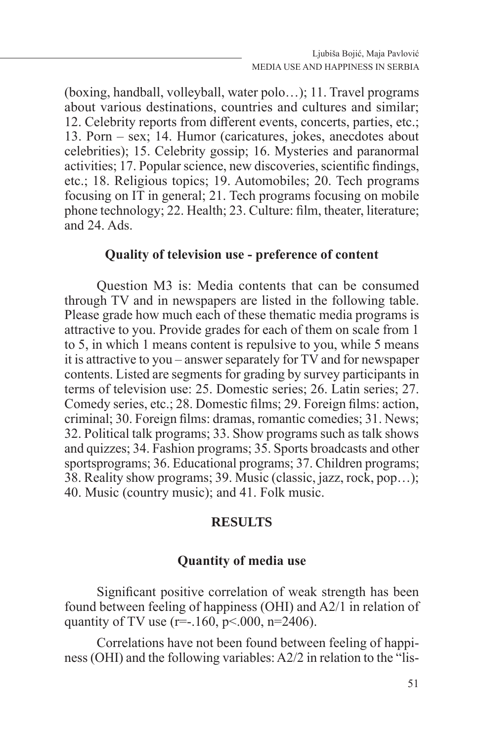(boxing, handball, volleyball, water polo…); 11. Travel programs about various destinations, countries and cultures and similar; 12. Celebrity reports from different events, concerts, parties, etc.; 13. Porn – sex; 14. Humor (caricatures, jokes, anecdotes about celebrities); 15. Celebrity gossip; 16. Mysteries and paranormal activities; 17. Popular science, new discoveries, scientific findings, etc.; 18. Religious topics; 19. Automobiles; 20. Tech programs focusing on IT in general; 21. Tech programs focusing on mobile phone technology; 22. Health; 23. Culture: film, theater, literature; and  $24.$  Ads.

### **Quality of television use - preference of content**

Question M3 is: Media contents that can be consumed through TV and in newspapers are listed in the following table. Please grade how much each of these thematic media programs is attractive to you. Provide grades for each of them on scale from 1 to 5, in which 1 means content is repulsive to you, while 5 means it is attractive to you – answer separately for TV and for newspaper contents. Listed are segments for grading by survey participants in terms of television use: 25. Domestic series; 26. Latin series; 27. Comedy series, etc.; 28. Domestic films; 29. Foreign films: action, criminal; 30. Foreign films: dramas, romantic comedies; 31. News; 32. Political talk programs; 33. Show programs such as talk shows and quizzes; 34. Fashion programs; 35. Sports broadcasts and other sportsprograms; 36. Educational programs; 37. Children programs; 38. Reality show programs; 39. Music (classic, jazz, rock, pop…); 40. Music (country music); and 41. Folk music.

#### **RESULTS**

## **Quantity of media use**

Significant positive correlation of weak strength has been found between feeling of happiness (OHI) and A2/1 in relation of quantity of TV use (r=-.160, p<.000, n=2406).

Correlations have not been found between feeling of happiness (OHI) and the following variables: A2/2 in relation to the "lis-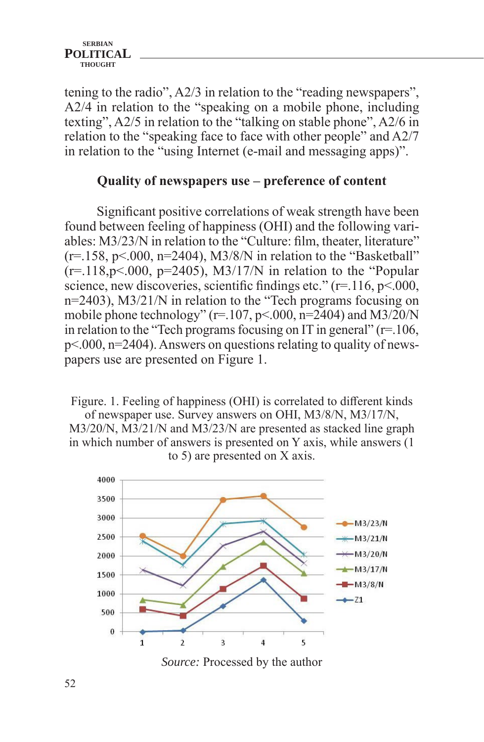tening to the radio", A2/3 in relation to the "reading newspapers", A2/4 in relation to the "speaking on a mobile phone, including texting", A2/5 in relation to the "talking on stable phone", A2/6 in relation to the "speaking face to face with other people" and A2/7 in relation to the "using Internet (e-mail and messaging apps)".

## **Quality of newspapers use – preference of content**

Significant positive correlations of weak strength have been found between feeling of happiness (OHI) and the following variables: M3/23/N in relation to the "Culture: film, theater, literature"  $(r=158, p<.000, n=2404)$ , M3/8/N in relation to the "Basketball"  $(r=118,p<.000, p=2405)$ , M3/17/N in relation to the "Popular science, new discoveries, scientific findings etc."  $(r=116, p<0.00$ , n=2403), M3/21/N in relation to the "Tech programs focusing on mobile phone technology" (r=.107, p<.000, n=2404) and M3/20/N in relation to the "Tech programs focusing on IT in general"  $(r=106, r=100)$ p<.000, n=2404). Answers on questions relating to quality of newspapers use are presented on Figure 1.

Figure. 1. Feeling of happiness (OHI) is correlated to different kinds of newspaper use. Survey answers on OHI, M3/8/N, M3/17/N, M3/20/N, M3/21/N and M3/23/N are presented as stacked line graph in which number of answers is presented on Y axis, while answers (1 to 5) are presented on X axis.



*Source:* Processed by the author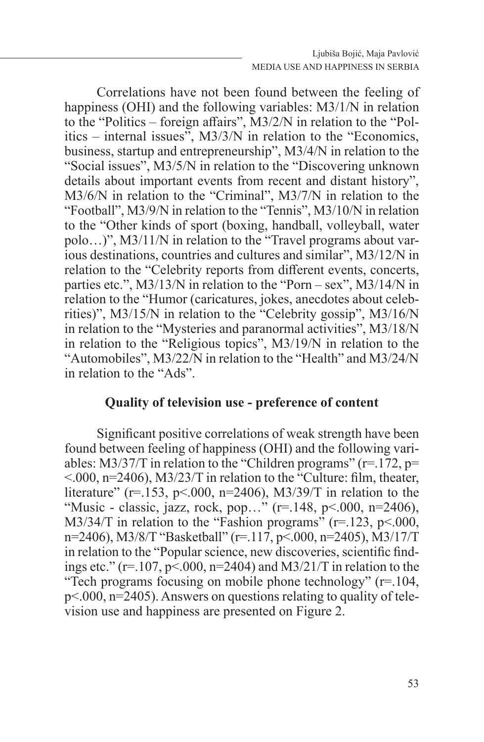Correlations have not been found between the feeling of happiness (OHI) and the following variables: M3/1/N in relation to the "Politics – foreign affairs", M3/2/N in relation to the "Politics – internal issues", M3/3/N in relation to the "Economics, business, startup and entrepreneurship", M3/4/N in relation to the "Social issues", M3/5/N in relation to the "Discovering unknown details about important events from recent and distant history", M3/6/N in relation to the "Criminal", M3/7/N in relation to the "Football", M3/9/N in relation to the "Tennis", M3/10/N in relation to the "Other kinds of sport (boxing, handball, volleyball, water polo...)", M3/11/N in relation to the "Travel programs about various destinations, countries and cultures and similar", M3/12/N in relation to the "Celebrity reports from different events, concerts, parties etc.", M3/13/N in relation to the "Porn – sex", M3/14/N in relation to the "Humor (caricatures, jokes, anecdotes about celebrities)", M3/15/N in relation to the "Celebrity gossip", M3/16/N in relation to the "Mysteries and paranormal activities", M3/18/N in relation to the "Religious topics", M3/19/N in relation to the "Automobiles", M3/22/N in relation to the "Health" and M3/24/N in relation to the "Ads".

### **Quality of television use - preference of content**

Significant positive correlations of weak strength have been found between feeling of happiness (OHI) and the following variables: M3/37/T in relation to the "Children programs" ( $r=172$ ,  $p=$ <.000, n=2406), M3/23/T in relation to the "Culture: film, theater, literature" (r=.153, p<.000, n=2406), M3/39/T in relation to the "Music - classic, jazz, rock, pop…" (r=.148, p<.000, n=2406), M3/34/T in relation to the "Fashion programs"  $(r=.123, p<.000,$ n=2406), M3/8/T "Basketball" (r=.117, p<.000, n=2405), M3/17/T in relation to the "Popular science, new discoveries, scientific findings etc." (r=.107, p<.000, n=2404) and M3/21/T in relation to the "Tech programs focusing on mobile phone technology" (r=.104, p<.000, n=2405). Answers on questions relating to quality of television use and happiness are presented on Figure 2.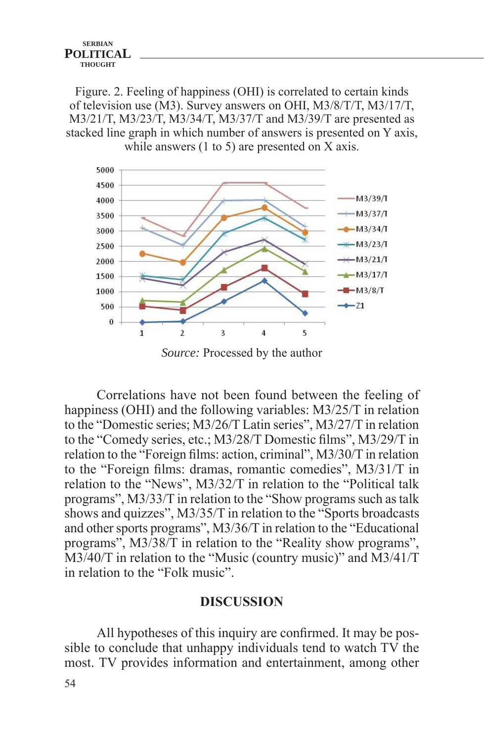Figure. 2. Feeling of happiness (OHI) is correlated to certain kinds of television use (M3). Survey answers on OHI, M3/8/T/T, M3/17/T, M3/21/T, M3/23/T, M3/34/T, M3/37/T and M3/39/T are presented as stacked line graph in which number of answers is presented on Y axis, while answers (1 to 5) are presented on X axis.



*Source:* Processed by the author

Correlations have not been found between the feeling of happiness (OHI) and the following variables: M3/25/T in relation to the "Domestic series; M3/26/T Latin series", M3/27/T in relation to the "Comedy series, etc.; M3/28/T Domestic films", M3/29/T in relation to the "Foreign films: action, criminal", M3/30/T in relation to the "Foreign films: dramas, romantic comedies", M3/31/T in relation to the "News", M3/32/T in relation to the "Political talk programs", M3/33/T in relation to the "Show programs such as talk shows and quizzes", M3/35/T in relation to the "Sports broadcasts and other sports programs", M3/36/T in relation to the "Educational programs", M3/38/T in relation to the "Reality show programs", M3/40/T in relation to the "Music (country music)" and M3/41/T in relation to the "Folk music".

#### **DISCUSSION**

All hypotheses of this inquiry are confirmed. It may be possible to conclude that unhappy individuals tend to watch TV the most. TV provides information and entertainment, among other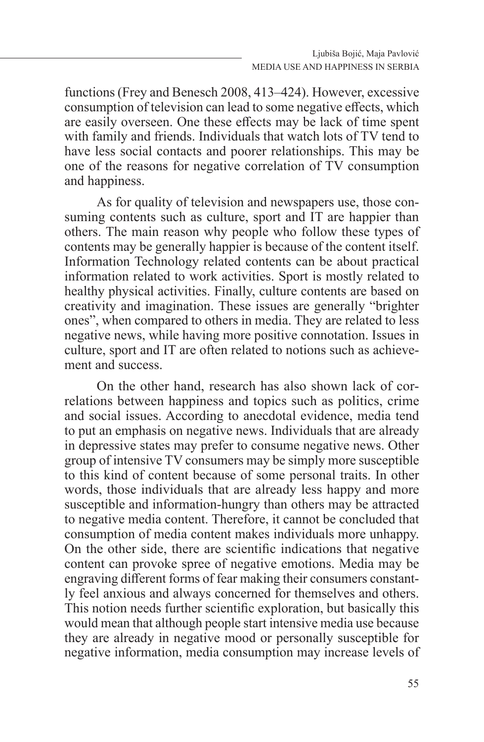functions (Frey and Benesch 2008, 413–424). However, excessive consumption of television can lead to some negative effects, which are easily overseen. One these effects may be lack of time spent with family and friends. Individuals that watch lots of TV tend to have less social contacts and poorer relationships. This may be one of the reasons for negative correlation of TV consumption and happiness.

As for quality of television and newspapers use, those consuming contents such as culture, sport and IT are happier than others. The main reason why people who follow these types of contents may be generally happier is because of the content itself. Information Technology related contents can be about practical information related to work activities. Sport is mostly related to healthy physical activities. Finally, culture contents are based on creativity and imagination. These issues are generally "brighter ones", when compared to others in media. They are related to less negative news, while having more positive connotation. Issues in culture, sport and IT are often related to notions such as achievement and success.

On the other hand, research has also shown lack of correlations between happiness and topics such as politics, crime and social issues. According to anecdotal evidence, media tend to put an emphasis on negative news. Individuals that are already in depressive states may prefer to consume negative news. Other group of intensive TV consumers may be simply more susceptible to this kind of content because of some personal traits. In other words, those individuals that are already less happy and more susceptible and information-hungry than others may be attracted to negative media content. Therefore, it cannot be concluded that consumption of media content makes individuals more unhappy. On the other side, there are scientific indications that negative content can provoke spree of negative emotions. Media may be engraving different forms of fear making their consumers constantly feel anxious and always concerned for themselves and others. This notion needs further scientific exploration, but basically this would mean that although people start intensive media use because they are already in negative mood or personally susceptible for negative information, media consumption may increase levels of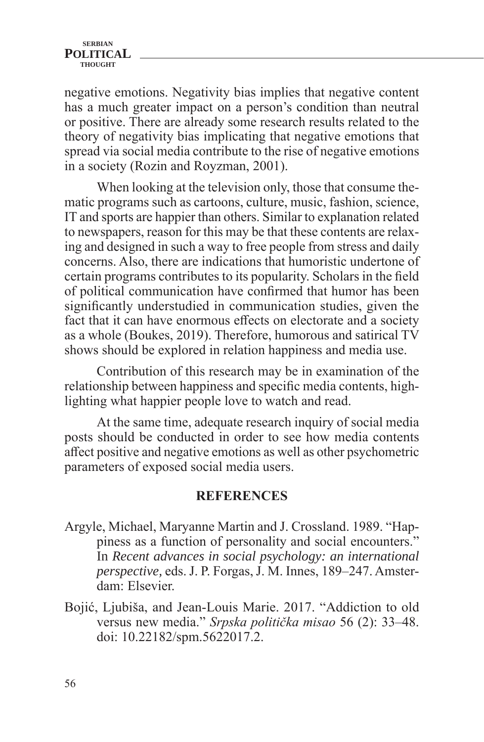negative emotions. Negativity bias implies that negative content has a much greater impact on a person's condition than neutral or positive. There are already some research results related to the theory of negativity bias implicating that negative emotions that spread via social media contribute to the rise of negative emotions in a society (Rozin and Royzman, 2001).

When looking at the television only, those that consume thematic programs such as cartoons, culture, music, fashion, science, IT and sports are happier than others. Similar to explanation related to newspapers, reason for this may be that these contents are relaxing and designed in such a way to free people from stress and daily concerns. Also, there are indications that humoristic undertone of certain programs contributes to its popularity. Scholars in the field of political communication have confirmed that humor has been significantly understudied in communication studies, given the fact that it can have enormous effects on electorate and a society as a whole (Boukes, 2019). Therefore, humorous and satirical TV shows should be explored in relation happiness and media use.

Contribution of this research may be in examination of the relationship between happiness and specific media contents, highlighting what happier people love to watch and read.

At the same time, adequate research inquiry of social media posts should be conducted in order to see how media contents affect positive and negative emotions as well as other psychometric parameters of exposed social media users.

## **REFERENCES**

- Argyle, Michael, Maryanne Martin and J. Crossland. 1989. "Happiness as a function of personality and social encounters." In *Recent advances in social psychology: an international perspective, eds. J. P. Forgas, J. M. Innes, 189-247. Amster*dam: Elsevier.
- Bojić, Lјubiša, and Jean-Louis Marie. 2017. "Addiction to old versus new media." *Srpska politička misao* 56 (2): 33‒48. doi: 10.22182/spm.5622017.2.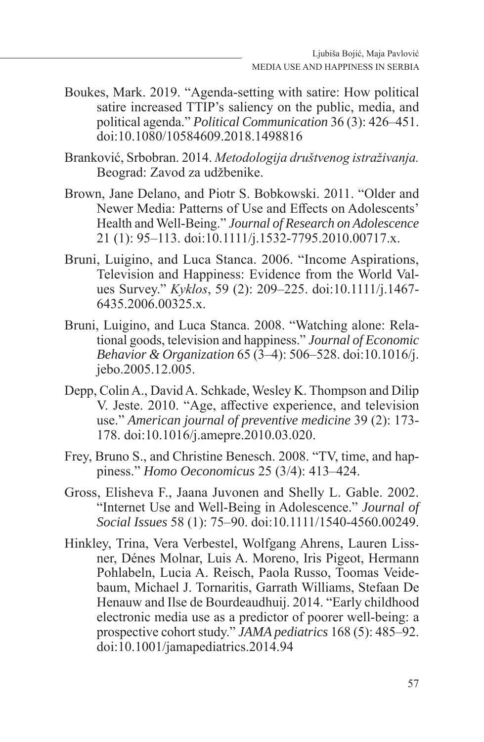Boukes, Mark. 2019. "Agenda-setting with satire: How political satire increased TTIP's saliency on the public, media, and political agenda." *Political Communication* 36(3): 426–451. doi:10.1080/10584609.2018.1498816

Branković, Srbobran. 2014. *Metodologija društvenog istraživanja.*  Beograd: Zavod za udžbenike.

- Brown, Jane Delano, and Piotr S. Bobkowski. 2011. "Older and Newer Media: Patterns of Use and Effects on Adolescents' Health and Well-Being." *Journal of Research on Adolescence* 21 (1): 95‒113. doi:10.1111/j.1532-7795.2010.00717.x.
- Bruni, Luigino, and Luca Stanca. 2006. "Income Aspirations, Television and Happiness: Evidence from the World Values Survey." *Kyklos*, 59 (2): 209‒225. doi:10.1111/j.1467- 6435.2006.00325.x.
- Bruni, Luigino, and Luca Stanca. 2008. "Watching alone: Relational goods, television and happiness." *Journal of Economic Behavior & Organization* 65 (3‒4): 506‒528. doi:10.1016/j. jebo.2005.12.005.
- Depp, Colin A., David A. Schkade, Wesley K. Thompson and Dilip V. Jeste. 2010. "Age, affective experience, and television use." *American journal of preventive medicine* 39 (2): 173- 178. doi:10.1016/j.amepre.2010.03.020.
- Frey, Bruno S., and Christine Benesch. 2008. "TV, time, and happiness." *Homo Oeconomicus* 25 (3/4): 413‒424.
- Gross, Elisheva F., Jaana Juvonen and Shelly L. Gable. 2002. "Internet Use and Well‐Being in Adolescence." *Journal of Social Issues* 58 (1): 75‒90. doi:10.1111/1540-4560.00249.
- Hinkley, Trina, Vera Verbestel, Wolfgang Ahrens, Lauren Lissner, Dénes Molnar, Luis A. Moreno, Iris Pigeot, Hermann Pohlabeln, Lucia A. Reisch, Paola Russo, Toomas Veidebaum, Michael J. Tornaritis, Garrath Williams, Stefaan De Henauw and Ilse de Bourdeaudhuij. 2014. "Early childhood electronic media use as a predictor of poorer well-being: a prospective cohort study." *JAMA pediatrics* 168 (5): 485–92. doi:10.1001/jamapediatrics.2014.94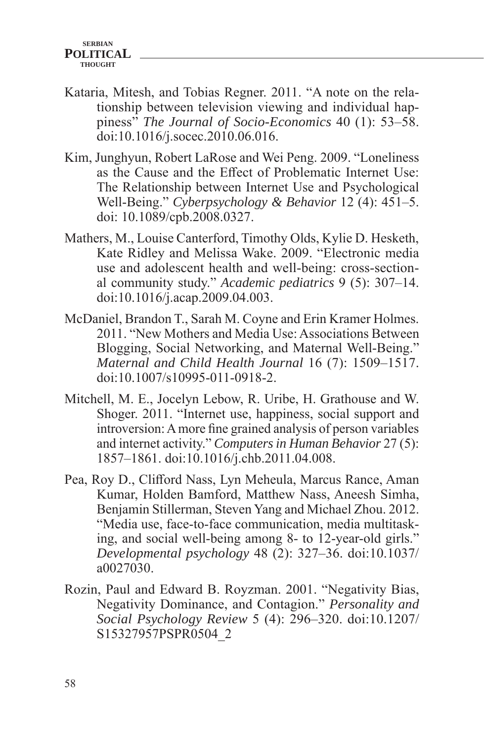- Kataria, Mitesh, and Tobias Regner. 2011. "A note on the relationship between television viewing and individual happiness<sup>"</sup> *The Journal of Socio-Economics* 40 (1): 53–58. doi:10.1016/j.socec.2010.06.016.
- Kim, Junghyun, Robert LaRose and Wei Peng. 2009. "Loneliness as the Cause and the Effect of Problematic Internet Use: The Relationship between Internet Use and Psychological Well-Being." *Cyberpsychology & Behavior* 12 (4): 451–5. doi: 10.1089/cpb.2008.0327.
- Mathers, M., Louise Canterford, Timothy Olds, Kylie D. Hesketh, Kate Ridley and Melissa Wake. 2009. "Electronic media use and adolescent health and well-being: cross-sectional community study." *Academic pediatrics* 9 (5): 307‒14. doi:10.1016/j.acap.2009.04.003.
- McDaniel, Brandon T., Sarah M. Coyne and Erin Kramer Holmes. 2011. "New Mothers and Media Use: Associations Between Blogging, Social Networking, and Maternal Well-Being." *Maternal and Child Health Journal* 16 (7): 1509–1517. doi:10.1007/s10995-011-0918-2.
- Mitchell, M. E., Jocelyn Lebow, R. Uribe, H. Grathouse and W. Shoger. 2011. "Internet use, happiness, social support and introversion: A more fine grained analysis of person variables and internet activity." *Computers in Human Behavior* 27 (5): 1857‒1861. doi:10.1016/j.chb.2011.04.008.
- Pea, Roy D., Clifford Nass, Lyn Meheula, Marcus Rance, Aman Kumar, Holden Bamford, Matthew Nass, Aneesh Simha, Benjamin Stillerman, Steven Yang and Michael Zhou. 2012. "Media use, face-to-face communication, media multitasking, and social well-being among 8- to 12-year-old girls." *Developmental psychology* 48 (2): 327‒36. doi:10.1037/ a0027030.
- Rozin, Paul and Edward B. Royzman. 2001. "Negativity Bias, Negativity Dominance, and Contagion." *Personality and Social Psychology Review* 5 (4): 296‒320. doi:10.1207/ S15327957PSPR0504\_2